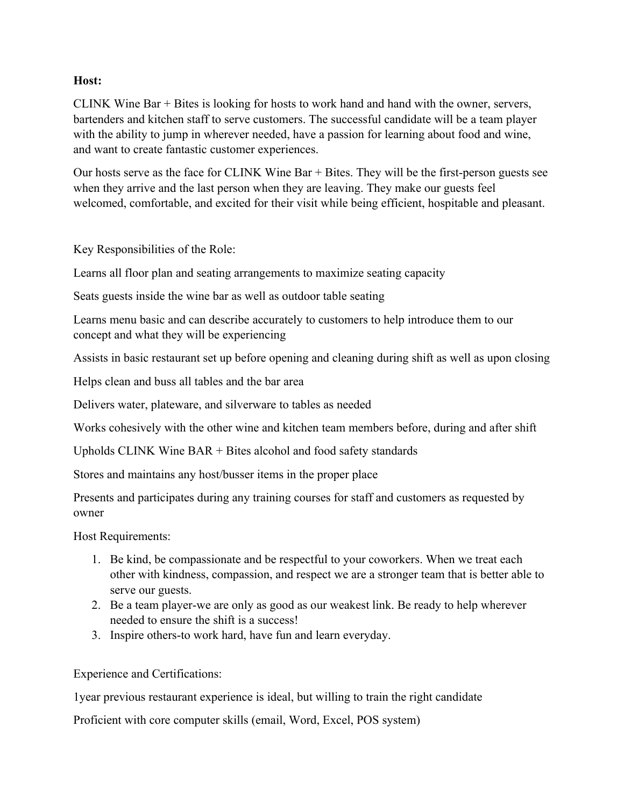## **Host:**

CLINK Wine Bar + Bites is looking for hosts to work hand and hand with the owner, servers, bartenders and kitchen staff to serve customers. The successful candidate will be a team player with the ability to jump in wherever needed, have a passion for learning about food and wine, and want to create fantastic customer experiences.

Our hosts serve as the face for CLINK Wine Bar + Bites. They will be the first-person guests see when they arrive and the last person when they are leaving. They make our guests feel welcomed, comfortable, and excited for their visit while being efficient, hospitable and pleasant.

Key Responsibilities of the Role:

Learns all floor plan and seating arrangements to maximize seating capacity

Seats guests inside the wine bar as well as outdoor table seating

Learns menu basic and can describe accurately to customers to help introduce them to our concept and what they will be experiencing

Assists in basic restaurant set up before opening and cleaning during shift as well as upon closing

Helps clean and buss all tables and the bar area

Delivers water, plateware, and silverware to tables as needed

Works cohesively with the other wine and kitchen team members before, during and after shift

Upholds CLINK Wine BAR + Bites alcohol and food safety standards

Stores and maintains any host/busser items in the proper place

Presents and participates during any training courses for staff and customers as requested by owner

Host Requirements:

- 1. Be kind, be compassionate and be respectful to your coworkers. When we treat each other with kindness, compassion, and respect we are a stronger team that is better able to serve our guests.
- 2. Be a team player-we are only as good as our weakest link. Be ready to help wherever needed to ensure the shift is a success!
- 3. Inspire others-to work hard, have fun and learn everyday.

Experience and Certifications:

1year previous restaurant experience is ideal, but willing to train the right candidate

Proficient with core computer skills (email, Word, Excel, POS system)